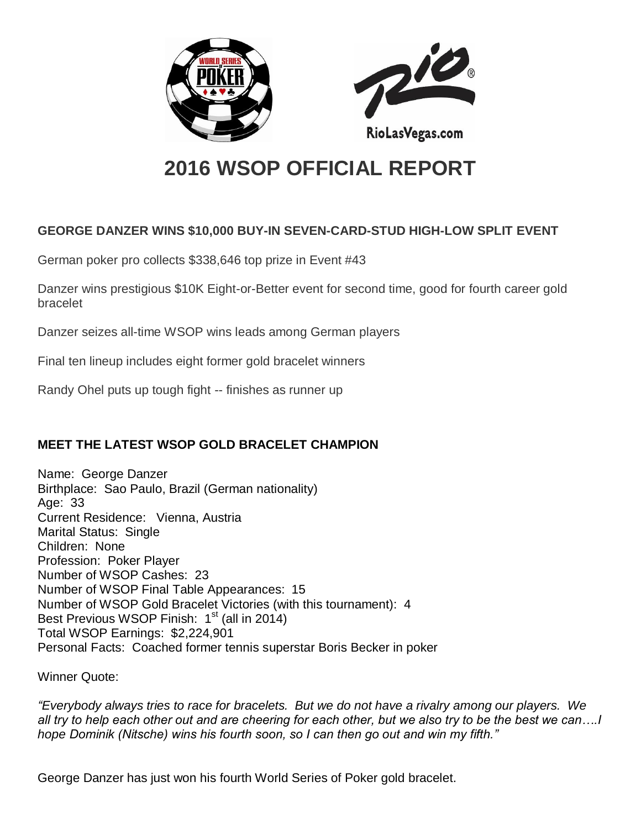



# **2016 WSOP OFFICIAL REPORT**

# **GEORGE DANZER WINS \$10,000 BUY-IN SEVEN-CARD-STUD HIGH-LOW SPLIT EVENT**

German poker pro collects \$338,646 top prize in Event #43

Danzer wins prestigious \$10K Eight-or-Better event for second time, good for fourth career gold bracelet

Danzer seizes all-time WSOP wins leads among German players

Final ten lineup includes eight former gold bracelet winners

Randy Ohel puts up tough fight -- finishes as runner up

# **MEET THE LATEST WSOP GOLD BRACELET CHAMPION**

Name: George Danzer Birthplace: Sao Paulo, Brazil (German nationality) Age: 33 Current Residence: Vienna, Austria Marital Status: Single Children: None Profession: Poker Player Number of WSOP Cashes: 23 Number of WSOP Final Table Appearances: 15 Number of WSOP Gold Bracelet Victories (with this tournament): 4 Best Previous WSOP Finish:  $1<sup>st</sup>$  (all in 2014) Total WSOP Earnings: \$2,224,901 Personal Facts: Coached former tennis superstar Boris Becker in poker

Winner Quote:

*"Everybody always tries to race for bracelets. But we do not have a rivalry among our players. We all try to help each other out and are cheering for each other, but we also try to be the best we can….I hope Dominik (Nitsche) wins his fourth soon, so I can then go out and win my fifth."*

George Danzer has just won his fourth World Series of Poker gold bracelet.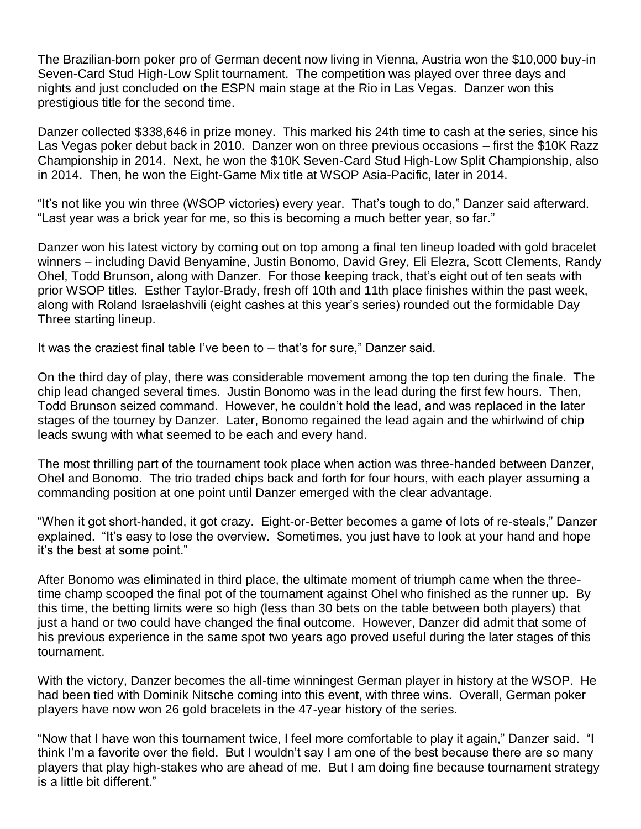The Brazilian-born poker pro of German decent now living in Vienna, Austria won the \$10,000 buy-in Seven-Card Stud High-Low Split tournament. The competition was played over three days and nights and just concluded on the ESPN main stage at the Rio in Las Vegas. Danzer won this prestigious title for the second time.

Danzer collected \$338,646 in prize money. This marked his 24th time to cash at the series, since his Las Vegas poker debut back in 2010. Danzer won on three previous occasions – first the \$10K Razz Championship in 2014. Next, he won the \$10K Seven-Card Stud High-Low Split Championship, also in 2014. Then, he won the Eight-Game Mix title at WSOP Asia-Pacific, later in 2014.

"It's not like you win three (WSOP victories) every year. That's tough to do," Danzer said afterward. "Last year was a brick year for me, so this is becoming a much better year, so far."

Danzer won his latest victory by coming out on top among a final ten lineup loaded with gold bracelet winners – including David Benyamine, Justin Bonomo, David Grey, Eli Elezra, Scott Clements, Randy Ohel, Todd Brunson, along with Danzer. For those keeping track, that's eight out of ten seats with prior WSOP titles. Esther Taylor-Brady, fresh off 10th and 11th place finishes within the past week, along with Roland Israelashvili (eight cashes at this year's series) rounded out the formidable Day Three starting lineup.

It was the craziest final table I've been to – that's for sure," Danzer said.

On the third day of play, there was considerable movement among the top ten during the finale. The chip lead changed several times. Justin Bonomo was in the lead during the first few hours. Then, Todd Brunson seized command. However, he couldn't hold the lead, and was replaced in the later stages of the tourney by Danzer. Later, Bonomo regained the lead again and the whirlwind of chip leads swung with what seemed to be each and every hand.

The most thrilling part of the tournament took place when action was three-handed between Danzer, Ohel and Bonomo. The trio traded chips back and forth for four hours, with each player assuming a commanding position at one point until Danzer emerged with the clear advantage.

"When it got short-handed, it got crazy. Eight-or-Better becomes a game of lots of re-steals," Danzer explained. "It's easy to lose the overview. Sometimes, you just have to look at your hand and hope it's the best at some point."

After Bonomo was eliminated in third place, the ultimate moment of triumph came when the threetime champ scooped the final pot of the tournament against Ohel who finished as the runner up. By this time, the betting limits were so high (less than 30 bets on the table between both players) that just a hand or two could have changed the final outcome. However, Danzer did admit that some of his previous experience in the same spot two years ago proved useful during the later stages of this tournament.

With the victory, Danzer becomes the all-time winningest German player in history at the WSOP. He had been tied with Dominik Nitsche coming into this event, with three wins. Overall, German poker players have now won 26 gold bracelets in the 47-year history of the series.

"Now that I have won this tournament twice, I feel more comfortable to play it again," Danzer said. "I think I'm a favorite over the field. But I wouldn't say I am one of the best because there are so many players that play high-stakes who are ahead of me. But I am doing fine because tournament strategy is a little bit different."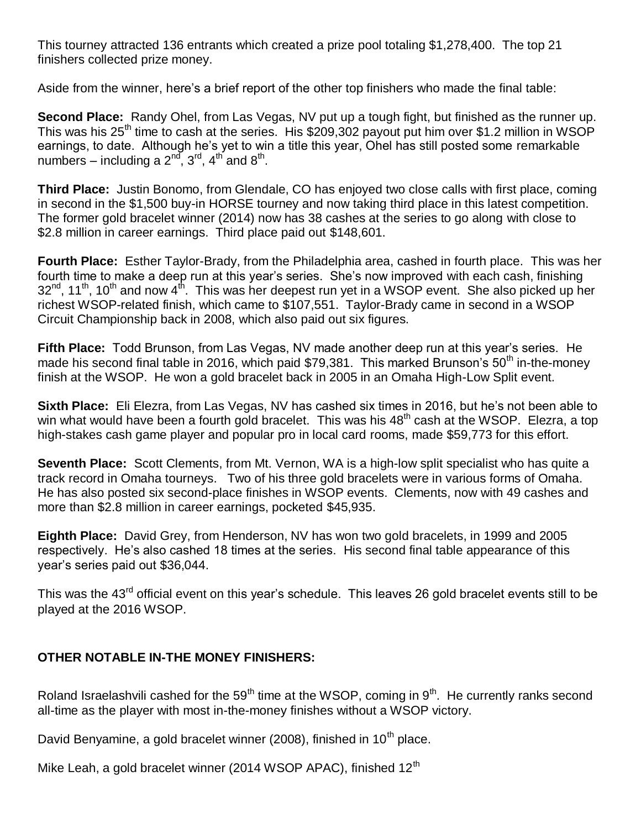This tourney attracted 136 entrants which created a prize pool totaling \$1,278,400. The top 21 finishers collected prize money.

Aside from the winner, here's a brief report of the other top finishers who made the final table:

**Second Place:** Randy Ohel, from Las Vegas, NV put up a tough fight, but finished as the runner up. This was his 25<sup>th</sup> time to cash at the series. His \$209,302 payout put him over \$1.2 million in WSOP earnings, to date. Although he's yet to win a title this year, Ohel has still posted some remarkable numbers – including a  $2^{nd}$ ,  $3^{rd}$ ,  $4^{th}$  and  $8^{th}$ .

**Third Place:** Justin Bonomo, from Glendale, CO has enjoyed two close calls with first place, coming in second in the \$1,500 buy-in HORSE tourney and now taking third place in this latest competition. The former gold bracelet winner (2014) now has 38 cashes at the series to go along with close to \$2.8 million in career earnings. Third place paid out \$148,601.

**Fourth Place:** Esther Taylor-Brady, from the Philadelphia area, cashed in fourth place. This was her fourth time to make a deep run at this year's series. She's now improved with each cash, finishing  $32^{nd}$ , 11<sup>th</sup>, 10<sup>th</sup> and now 4<sup>th</sup>. This was her deepest run yet in a WSOP event. She also picked up her richest WSOP-related finish, which came to \$107,551. Taylor-Brady came in second in a WSOP Circuit Championship back in 2008, which also paid out six figures.

**Fifth Place:** Todd Brunson, from Las Vegas, NV made another deep run at this year's series. He made his second final table in 2016, which paid  $$79,381$ . This marked Brunson's  $50<sup>th</sup>$  in-the-money finish at the WSOP. He won a gold bracelet back in 2005 in an Omaha High-Low Split event.

**Sixth Place:** Eli Elezra, from Las Vegas, NV has cashed six times in 2016, but he's not been able to win what would have been a fourth gold bracelet. This was his 48<sup>th</sup> cash at the WSOP. Elezra, a top high-stakes cash game player and popular pro in local card rooms, made \$59,773 for this effort.

**Seventh Place:** Scott Clements, from Mt. Vernon, WA is a high-low split specialist who has quite a track record in Omaha tourneys. Two of his three gold bracelets were in various forms of Omaha. He has also posted six second-place finishes in WSOP events. Clements, now with 49 cashes and more than \$2.8 million in career earnings, pocketed \$45,935.

**Eighth Place:** David Grey, from Henderson, NV has won two gold bracelets, in 1999 and 2005 respectively. He's also cashed 18 times at the series. His second final table appearance of this year's series paid out \$36,044.

This was the 43<sup>rd</sup> official event on this year's schedule. This leaves 26 gold bracelet events still to be played at the 2016 WSOP.

### **OTHER NOTABLE IN-THE MONEY FINISHERS:**

Roland Israelashvili cashed for the 59<sup>th</sup> time at the WSOP, coming in 9<sup>th</sup>. He currently ranks second all-time as the player with most in-the-money finishes without a WSOP victory.

David Benyamine, a gold bracelet winner (2008), finished in 10<sup>th</sup> place.

Mike Leah, a gold bracelet winner (2014 WSOP APAC), finished  $12<sup>th</sup>$